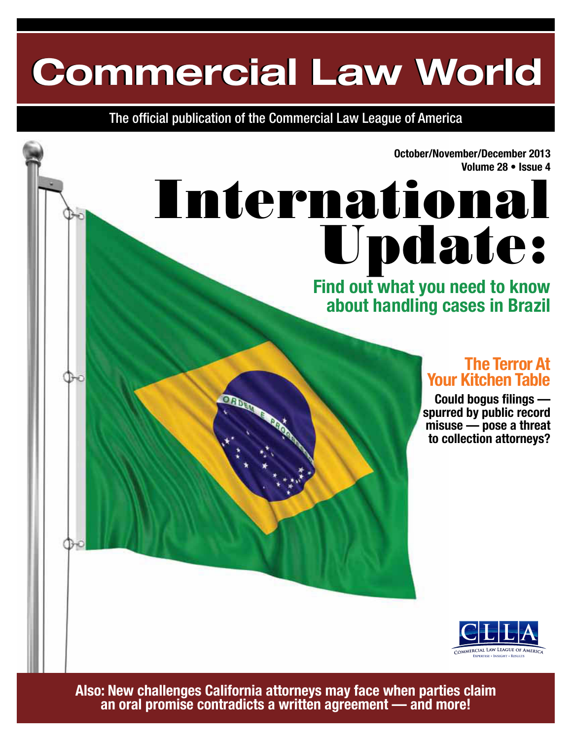# **Commercial Law World Commercial Law World**

The official publication of the Commercial Law League of America

**October/November/December 2013 Volume 28 • Issue 4**

# International Update:

### **Find out what you need to know about handling cases in Brazil**

### **The Terror At Your Kitchen Table**

**Could bogus filings spurred by public record misuse — pose a threat to collection attorneys?**



**Also: New challenges California attorneys may face when parties claim an oral promise contradicts a written agreement — and more!**